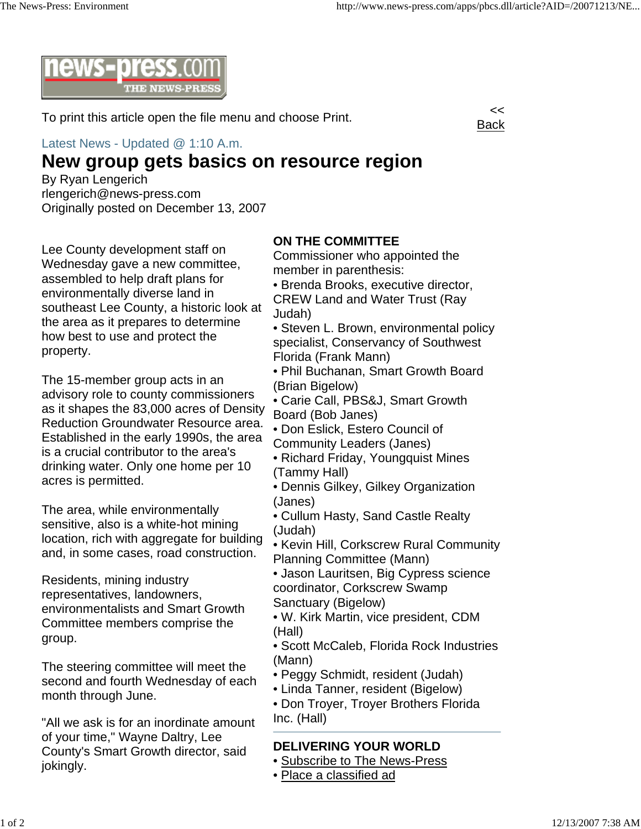

To print this article open the file menu and choose Print.

Latest News - Updated @ 1:10 A.m.

## **New group gets basics on resource region**

By Ryan Lengerich rlengerich@news-press.com Originally posted on December 13, 2007



Lee County development staff on Wednesday gave a new committee, assembled to help draft plans for environmentally diverse land in southeast Lee County, a historic look at the area as it prepares to determine how best to use and protect the property.

The 15-member group acts in an advisory role to county commissioners as it shapes the 83,000 acres of Density Reduction Groundwater Resource area. Established in the early 1990s, the area is a crucial contributor to the area's drinking water. Only one home per 10 acres is permitted.

The area, while environmentally sensitive, also is a white-hot mining location, rich with aggregate for building and, in some cases, road construction.

Residents, mining industry representatives, landowners, environmentalists and Smart Growth Committee members comprise the group.

The steering committee will meet the second and fourth Wednesday of each month through June.

"All we ask is for an inordinate amount of your time," Wayne Daltry, Lee County's Smart Growth director, said jokingly.

## **ON THE COMMITTEE**

Commissioner who appointed the member in parenthesis:

- Brenda Brooks, executive director, CREW Land and Water Trust (Ray Judah)
- Steven L. Brown, environmental policy specialist, Conservancy of Southwest Florida (Frank Mann)
- Phil Buchanan, Smart Growth Board (Brian Bigelow)
- Carie Call, PBS&J, Smart Growth Board (Bob Janes)
- Don Eslick, Estero Council of Community Leaders (Janes)
- Richard Friday, Youngquist Mines (Tammy Hall)
- Dennis Gilkey, Gilkey Organization (Janes)
- Cullum Hasty, Sand Castle Realty (Judah)
- Kevin Hill, Corkscrew Rural Community Planning Committee (Mann)
- Jason Lauritsen, Big Cypress science coordinator, Corkscrew Swamp Sanctuary (Bigelow)
- W. Kirk Martin, vice president, CDM (Hall)
- Scott McCaleb, Florida Rock Industries (Mann)
- Peggy Schmidt, resident (Judah)
- Linda Tanner, resident (Bigelow)
- Don Troyer, Troyer Brothers Florida Inc. (Hall)

## **DELIVERING YOUR WORLD**

- Subscribe to The News-Press
- Place a classified ad